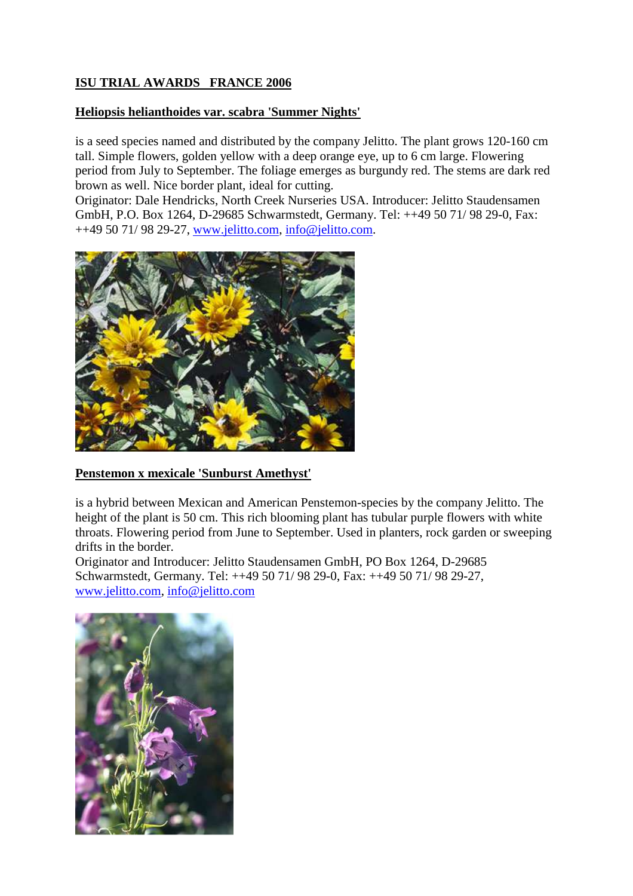## **ISU TRIAL AWARDS FRANCE 2006**

## **Heliopsis helianthoides var. scabra 'Summer Nights'**

is a seed species named and distributed by the company Jelitto. The plant grows 120-160 cm tall. Simple flowers, golden yellow with a deep orange eye, up to 6 cm large. Flowering period from July to September. The foliage emerges as burgundy red. The stems are dark red brown as well. Nice border plant, ideal for cutting.

Originator: Dale Hendricks, North Creek Nurseries USA. Introducer: Jelitto Staudensamen GmbH, P.O. Box 1264, D-29685 Schwarmstedt, Germany. Tel: ++49 50 71/ 98 29-0, Fax: ++49 50 71/ 98 29-27, www.jelitto.com, info@jelitto.com.



## **Penstemon x mexicale 'Sunburst Amethyst'**

is a hybrid between Mexican and American Penstemon-species by the company Jelitto. The height of the plant is 50 cm. This rich blooming plant has tubular purple flowers with white throats. Flowering period from June to September. Used in planters, rock garden or sweeping drifts in the border.

Originator and Introducer: Jelitto Staudensamen GmbH, PO Box 1264, D-29685 Schwarmstedt, Germany. Tel: ++49 50 71/ 98 29-0, Fax: ++49 50 71/ 98 29-27, www.jelitto.com, info@jelitto.com